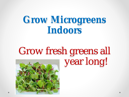### **Grow Microgreens Indoors**

### Grow fresh greens all year long!

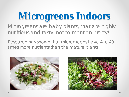### **Microgreens Indoors**

Microgreens are baby plants, that are highly nutritious and tasty, not to mention pretty!

Research has shown that microgreens have 4 to 40 times more nutrients than the mature plants!



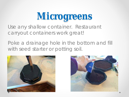Use any shallow container. Restaurant carryout containers work great!

Poke a drainage hole in the bottom and fill with seed starter or potting soil.



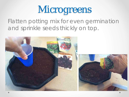Flatten potting mix for even germination and sprinkle seeds thickly on top.

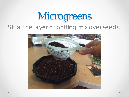### Microgreens Sift a fine layer of potting mix over seeds.

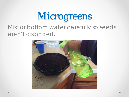#### Mist or bottom water carefully so seeds aren't dislodged.

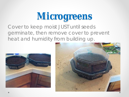Cover to keep moist JUST until seeds germinate, then remove cover to prevent heat and humidity from building up.



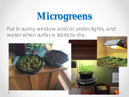Put in sunny window and/or under lights, and water when surface starts to dry.

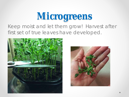#### Keep moist and let them grow! Harvest after first set of true leaves have developed.



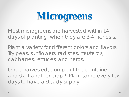Most microgreens are harvested within 14 days of planting, when they are 3-4 inches tall.

Plant a variety for different colors and flavors. Try peas, sunflowers, radishes, mustards, cabbages, lettuces, and herbs.

Once harvested, dump out the container and start another crop!! Plant some every few days to have a steady supply.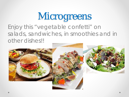Enjoy this "vegetable confetti" on salads, sandwiches, in smoothies and in other dishes!!